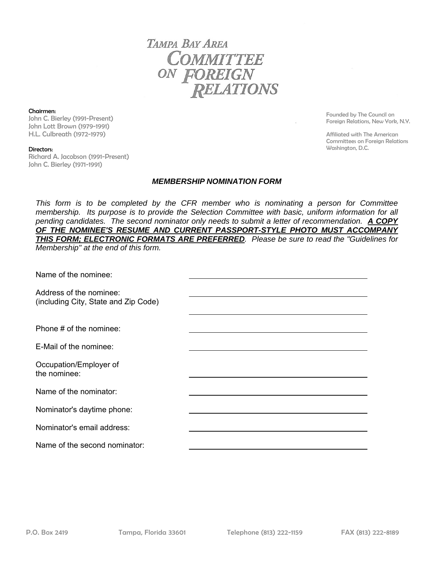TAMPA BAY AREA COMMITTEE ON FOREIGN **RELATIONS** 

Chairmen:

John C. Bierley (1991-Present) John Lott Brown (1979-1991) H.L. Culbreath (1972-1979)

Founded by The Council on Foreign Relations, New York, N.Y.

Affiliated with The American Committees on Foreign Relations Washington, D.C.

## Directors:

Richard A. Jacobson (1991-Present) John C. Bierley (1971-1991)

## *MEMBERSHIP NOMINATION FORM*

*This form is to be completed by the CFR member who is nominating a person for Committee membership. Its purpose is to provide the Selection Committee with basic, uniform information for all pending candidates. The second nominator only needs to submit a letter of recommendation. A COPY OF THE NOMINEE'S RESUME AND CURRENT PASSPORT-STYLE PHOTO MUST ACCOMPANY THIS FORM; ELECTRONIC FORMATS ARE PREFERRED. Please be sure to read the "Guidelines for Membership" at the end of this form.* 

Name of the nominee:

Address of the nominee: (including City, State and Zip Code)

Phone # of the nominee:

E-Mail of the nominee:

Occupation/Employer of the nominee:

Name of the nominator:

Nominator's daytime phone:

Nominator's email address:

Name of the second nominator: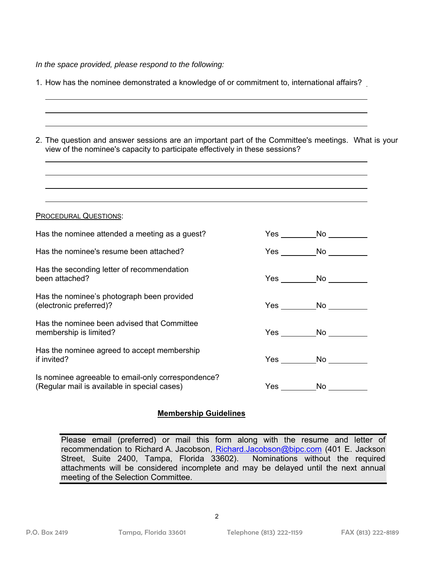*In the space provided, please respond to the following:* 

| 1. How has the nominee demonstrated a knowledge of or commitment to, international affairs?                                                                                         |  |                                 |
|-------------------------------------------------------------------------------------------------------------------------------------------------------------------------------------|--|---------------------------------|
| 2. The question and answer sessions are an important part of the Committee's meetings. What is your<br>view of the nominee's capacity to participate effectively in these sessions? |  |                                 |
| <b>PROCEDURAL QUESTIONS:</b>                                                                                                                                                        |  |                                 |
| Has the nominee attended a meeting as a guest?                                                                                                                                      |  | Yes ____________No ____________ |
| Has the nominee's resume been attached?                                                                                                                                             |  | Yes __________No _______        |
| Has the seconding letter of recommendation<br>been attached?                                                                                                                        |  | Yes No                          |
| Has the nominee's photograph been provided<br>(electronic preferred)?                                                                                                               |  | Yes No                          |
| Has the nominee been advised that Committee<br>membership is limited?                                                                                                               |  | Yes ___________No ____________  |
| Has the nominee agreed to accept membership<br>if invited?                                                                                                                          |  | $Yes \_\_No \_\_$               |
| Is nominee agreeable to email-only correspondence?<br>(Regular mail is available in special cases)                                                                                  |  |                                 |

## **Membership Guidelines**

Please email (preferred) or mail this form along with the resume and letter of recommendation to Richard A. Jacobson, Richard.Jacobson@bipc.com (401 E. Jackson Street, Suite 2400, Tampa, Florida 33602). Nominations without the required attachments will be considered incomplete and may be delayed until the next annual meeting of the Selection Committee.